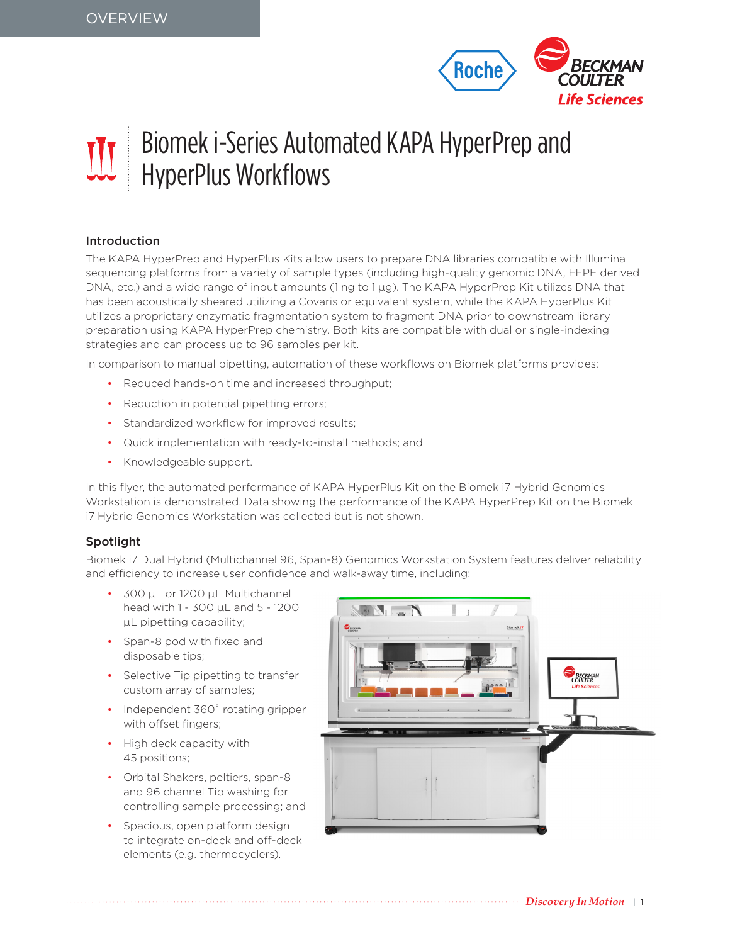

# Biomek i-Series Automated KAPA HyperPrep and **HyperPlus Workflows**

## Introduction

The KAPA HyperPrep and HyperPlus Kits allow users to prepare DNA libraries compatible with Illumina sequencing platforms from a variety of sample types (including high-quality genomic DNA, FFPE derived DNA, etc.) and a wide range of input amounts (1 ng to 1 µg). The KAPA HyperPrep Kit utilizes DNA that has been acoustically sheared utilizing a Covaris or equivalent system, while the KAPA HyperPlus Kit utilizes a proprietary enzymatic fragmentation system to fragment DNA prior to downstream library preparation using KAPA HyperPrep chemistry. Both kits are compatible with dual or single-indexing strategies and can process up to 96 samples per kit.

In comparison to manual pipetting, automation of these workflows on Biomek platforms provides:

- Reduced hands-on time and increased throughput;
- Reduction in potential pipetting errors;
- Standardized workflow for improved results;
- Quick implementation with ready-to-install methods; and
- Knowledgeable support.

In this flyer, the automated performance of KAPA HyperPlus Kit on the Biomek i7 Hybrid Genomics Workstation is demonstrated. Data showing the performance of the KAPA HyperPrep Kit on the Biomek i7 Hybrid Genomics Workstation was collected but is not shown.

## Spotlight

Biomek i7 Dual Hybrid (Multichannel 96, Span-8) Genomics Workstation System features deliver reliability and efficiency to increase user confidence and walk-away time, including:

- 300 µL or 1200 µL Multichannel head with 1 - 300 µL and 5 - 1200 µL pipetting capability;
- Span-8 pod with fixed and disposable tips;
- Selective Tip pipetting to transfer custom array of samples;
- Independent 360° rotating gripper with offset fingers;
- High deck capacity with 45 positions;
- Orbital Shakers, peltiers, span-8 and 96 channel Tip washing for controlling sample processing; and
- Spacious, open platform design to integrate on-deck and off-deck elements (e.g. thermocyclers).

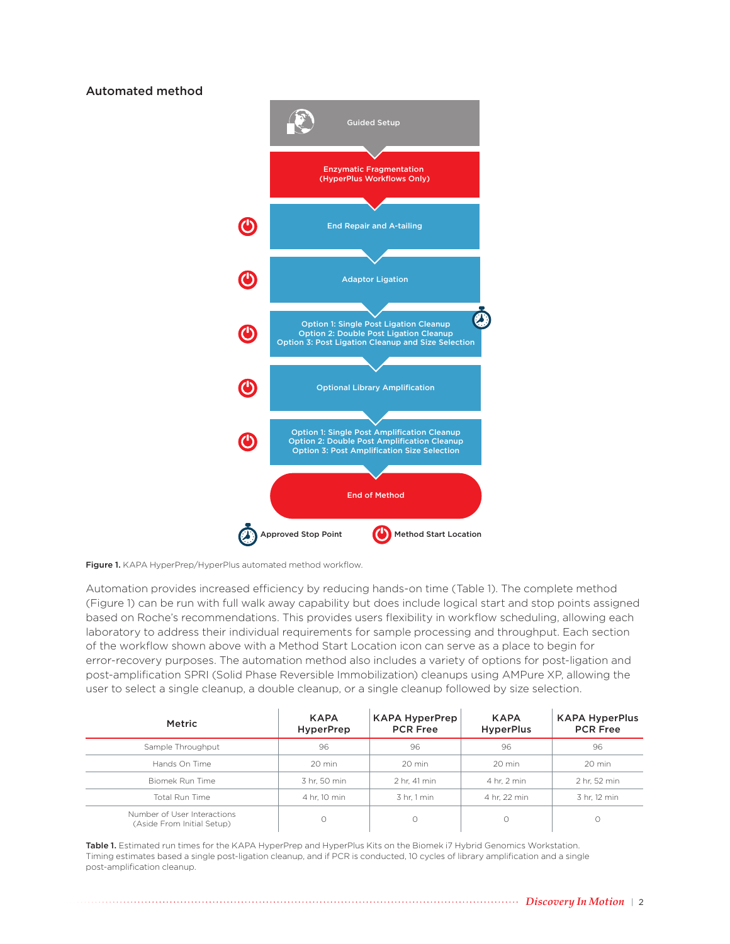## Automated method



Figure 1. KAPA HyperPrep/HyperPlus automated method workflow.

Automation provides increased efficiency by reducing hands-on time (Table 1). The complete method (Figure 1) can be run with full walk away capability but does include logical start and stop points assigned based on Roche's recommendations. This provides users flexibility in workflow scheduling, allowing each laboratory to address their individual requirements for sample processing and throughput. Each section of the workflow shown above with a Method Start Location icon can serve as a place to begin for error-recovery purposes. The automation method also includes a variety of options for post-ligation and post-amplification SPRI (Solid Phase Reversible Immobilization) cleanups using AMPure XP, allowing the user to select a single cleanup, a double cleanup, or a single cleanup followed by size selection.

| Metric                                                    | <b>KAPA</b><br><b>HyperPrep</b> | <b>KAPA HyperPrep</b><br><b>PCR Free</b> | <b>KAPA</b><br><b>HyperPlus</b> | <b>KAPA HyperPlus</b><br><b>PCR Free</b> |
|-----------------------------------------------------------|---------------------------------|------------------------------------------|---------------------------------|------------------------------------------|
| Sample Throughput                                         | 96                              | 96                                       | 96                              | 96                                       |
| Hands On Time                                             | 20 min                          | 20 min                                   | 20 min                          | 20 min                                   |
| Biomek Run Time                                           | 3 hr. 50 min                    | 2 hr. 41 min                             | 4 hr. 2 min                     | 2 hr. 52 min                             |
| Total Run Time                                            | 4 hr. 10 min                    | 3 hr. 1 min                              | 4 hr. 22 min                    | 3 hr. 12 min                             |
| Number of User Interactions<br>(Aside From Initial Setup) | Ω                               | О                                        | $\circ$                         |                                          |

Table 1. Estimated run times for the KAPA HyperPrep and HyperPlus Kits on the Biomek i7 Hybrid Genomics Workstation. Timing estimates based a single post-ligation cleanup, and if PCR is conducted, 10 cycles of library amplification and a single post-amplification cleanup.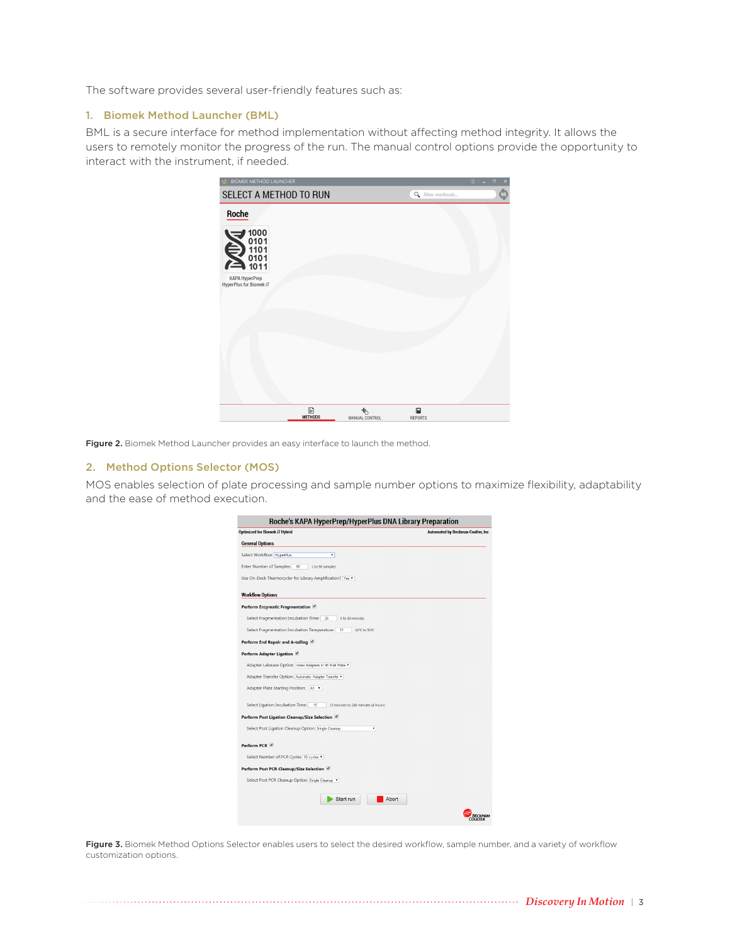The software provides several user-friendly features such as:

#### 1. Biomek Method Launcher (BML)

BML is a secure interface for method implementation without affecting method integrity. It allows the users to remotely monitor the progress of the run. The manual control options provide the opportunity to interact with the instrument, if needed.

| <b>BIOMEK METHOD LAUNCHEK</b>             |                     |                     |                  | $\cup$ $ \cup$<br>$\mathbf{x}$ |
|-------------------------------------------|---------------------|---------------------|------------------|--------------------------------|
| SELECT A METHOD TO RUN                    |                     |                     | Q filter methods | Ó                              |
| Roche                                     |                     |                     |                  |                                |
| 1000<br>0101<br>1101<br>0101<br>0101      |                     |                     |                  |                                |
| KAPA HyperPrep<br>HyperPlus for Biomek i7 |                     |                     |                  |                                |
|                                           |                     |                     |                  |                                |
|                                           |                     |                     |                  |                                |
|                                           |                     |                     |                  |                                |
|                                           | B<br><b>METHODS</b> | 嚕<br>MANUAL CONTROL | 目<br>REPORTS     |                                |

Figure 2. Biomek Method Launcher provides an easy interface to launch the method.

### 2. Method Options Selector (MOS)

MOS enables selection of plate processing and sample number options to maximize flexibility, adaptability and the ease of method execution.

| Roche's KAPA HyperPrep/HyperPlus DNA Library Preparation                      |                                           |
|-------------------------------------------------------------------------------|-------------------------------------------|
| <b>Optimized for Biomek i7 Hybrid</b>                                         | <b>Automated by Beckman Coulter, Inc.</b> |
| <b>General Options</b>                                                        |                                           |
| <b>Select Workflow: HyperPlus</b><br>÷                                        |                                           |
| Enter Number of Samples:<br>96<br>1 to 96 samples                             |                                           |
| Use On-Deck Thermocycler for Library Amplification? Yes                       |                                           |
| <b>Workflow Options</b>                                                       |                                           |
| Perform Enzymatic Fragmentation                                               |                                           |
| Select Fragmentation Incubation Time:<br>25<br>3 to 40 minutes                |                                           |
| Select Fragmentation Incubation Temperature:<br>37<br>20°C to 50°C.           |                                           |
| Perform End Repair and A-tailing                                              |                                           |
| Perform Adapter Ligation                                                      |                                           |
| Adapter Labware Option: Index Adapters in 96 Well Plate                       |                                           |
| Adapter Transfer Option: Automatic Adapter Transfer                           |                                           |
| Adapter Plate Starting Position: A1                                           |                                           |
| Select Ligation Incubation Time:<br>15<br>15 minutes to 240 minutes (4 hours) |                                           |
| Perform Post Ligation Cleanup/Size Selection                                  |                                           |
| Select Post Ligation Cleanup Option Single Cleanup<br>۰                       |                                           |
| Perform PCR V                                                                 |                                           |
| Select Number of PCR Cycles 10 cycles v                                       |                                           |
| Perform Post PCR Cleanup/Size Selection                                       |                                           |
| Select Post PCR Cleanup Option Single Cleanup                                 |                                           |
|                                                                               |                                           |
| Abort<br>Start run                                                            |                                           |
|                                                                               |                                           |

Figure 3. Biomek Method Options Selector enables users to select the desired workflow, sample number, and a variety of workflow customization options.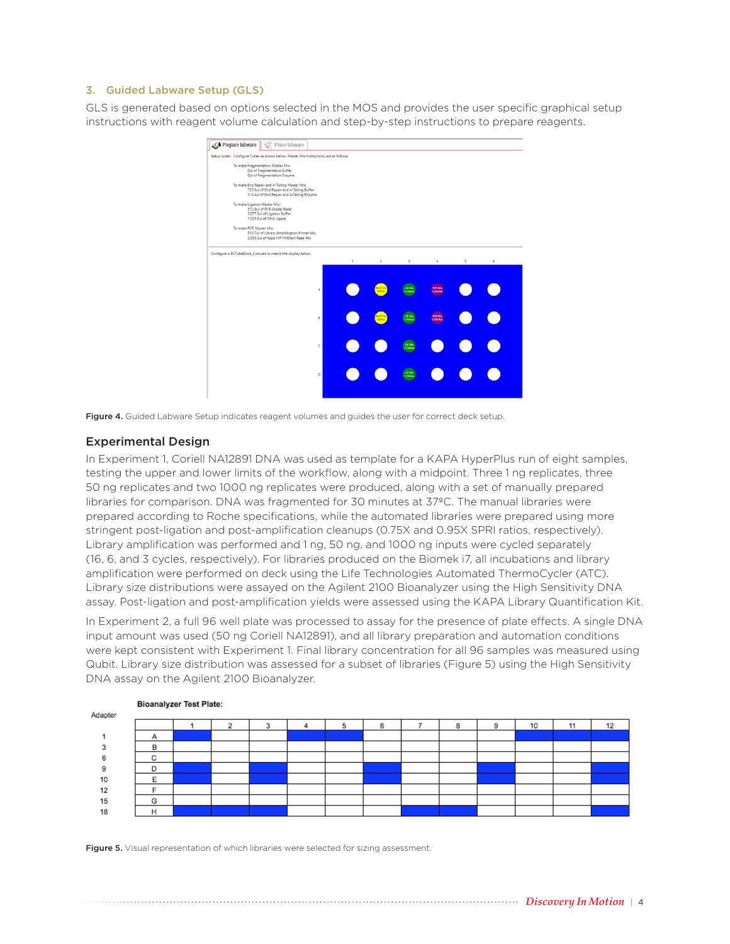#### 3. Guided Labware Setup (GLS)

GLS is generated based on options selected in the MOS and provides the user specific graphical setup instructions with reagent volume calculation and step-by-step instructions to prepare reagents.



Figure 4. Guided Labware Setup indicates reagent volumes and guides the user for correct deck setup.

### Experimental Design

In Experiment 1, Coriell NA12891 DNA was used as template for a KAPA HyperPlus run of eight samples, testing the upper and lower limits of the workflow, along with a midpoint. Three 1 ng replicates, three 50 ng replicates and two 1000 ng replicates were produced, along with a set of manually prepared libraries for comparison. DNA was fragmented for 30 minutes at 37ºC. The manual libraries were prepared according to Roche specifications, while the automated libraries were prepared using more stringent post-ligation and post-amplification cleanups (0.75X and 0.95X SPRI ratios, respectively). Library amplification was performed and 1 ng, 50 ng, and 1000 ng inputs were cycled separately (16, 6, and 3 cycles, respectively). For libraries produced on the Biomek i7, all incubations and library amplification were performed on deck using the Life Technologies Automated ThermoCycler (ATC). Library size distributions were assayed on the Agilent 2100 Bioanalyzer using the High Sensitivity DNA assay. Post-ligation and post-amplification yields were assessed using the KAPA Library Quantification Kit.

In Experiment 2, a full 96 well plate was processed to assay for the presence of plate effects. A single DNA input amount was used (50 ng Coriell NA12891), and all library preparation and automation conditions were kept consistent with Experiment 1. Final library concentration for all 96 samples was measured using Qubit. Library size distribution was assessed for a subset of libraries (Figure 5) using the High Sensitivity DNA assay on the Agilent 2100 Bioanalyzer.

|         |                               | <b>Divalially Co.</b> Tool Flator |   |   |   |   |   |    |    |    |
|---------|-------------------------------|-----------------------------------|---|---|---|---|---|----|----|----|
| Adapter |                               |                                   |   |   |   |   |   |    |    |    |
|         |                               |                                   | 3 | ю | 6 | 8 | 9 | 10 | 11 | 12 |
|         | A                             |                                   |   |   |   |   |   |    |    |    |
|         | в                             |                                   |   |   |   |   |   |    |    |    |
|         | $\overline{\phantom{a}}$<br>v |                                   |   |   |   |   |   |    |    |    |
|         | D                             |                                   |   |   |   |   |   |    |    |    |
| 10      |                               |                                   |   |   |   |   |   |    |    |    |
| 12      |                               |                                   |   |   |   |   |   |    |    |    |
| 15      | G                             |                                   |   |   |   |   |   |    |    |    |
| 18      |                               |                                   |   |   |   |   |   |    |    |    |
|         |                               |                                   |   |   |   |   |   |    |    |    |

**Bioanalyzer Test Plate:** 

Figure 5. Visual representation of which libraries were selected for sizing assessment.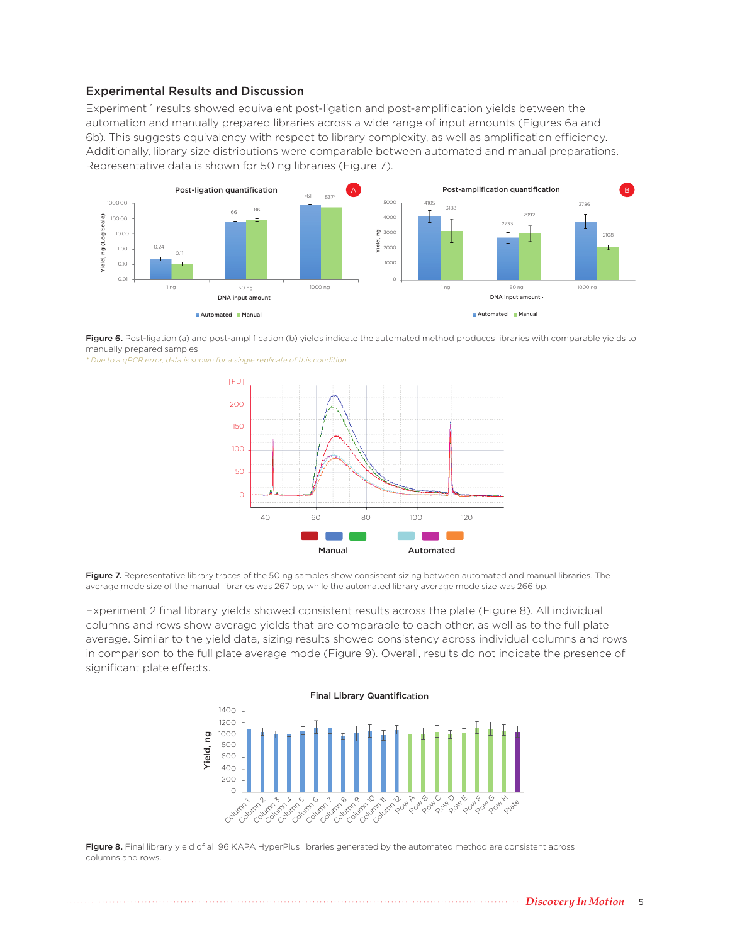## Experimental Results and Discussion

Experiment 1 results showed equivalent post-ligation and post-amplification yields between the automation and manually prepared libraries across a wide range of input amounts (Figures 6a and 6b). This suggests equivalency with respect to library complexity, as well as amplification efficiency. Additionally, library size distributions were comparable between automated and manual preparations. Representative data is shown for 50 ng libraries (Figure 7).



Figure 6. Post-ligation (a) and post-amplification (b) yields indicate the automated method produces libraries with comparable yields to manually prepared samples.

*\* Due to a qPCR error, data is shown for a single replicate of this condition.*



Figure 7. Representative library traces of the 50 ng samples show consistent sizing between automated and manual libraries. The average mode size of the manual libraries was 267 bp, while the automated library average mode size was 266 bp.

Experiment 2 final library yields showed consistent results across the plate (Figure 8). All individual columns and rows show average yields that are comparable to each other, as well as to the full plate average. Similar to the yield data, sizing results showed consistency across individual columns and rows in comparison to the full plate average mode (Figure 9). Overall, results do not indicate the presence of significant plate effects.



Figure 8. Final library yield of all 96 KAPA HyperPlus libraries generated by the automated method are consistent across columns and rows.